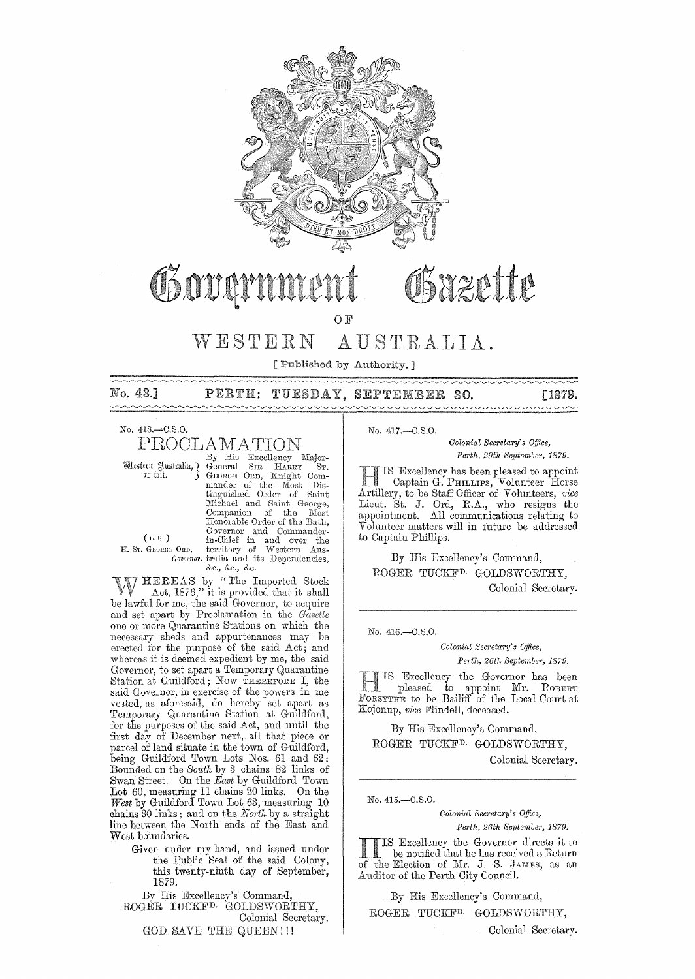

# Syzette

OF

#### $W E S T E R N$ AUSTRALIA

[Published by Authority.]

No. 43.1  $\sim\sim\sim\sim$  PERTH: TUESDAY, SEPTEMBER 30.

**[1879.** 

No. 418.-C.S.O.

PROCLAMATION

Western Justralia, 7 fo hit.

By His Excellency Major-General SIR HARRY "Sт. General SIR HARRY ST.<br>
GROGER OR Knight Com-<br>
mander of the Most Dis-<br>
tinguished Order of Saint<br>
Michael and Saint George,<br>
Companion of the Most Honorable Order of the Bath, Governor and Commander-<br>in-Chief in and over the<br>E ORD, territory of Western Aus-<br>Governor tralia and its Dependencies, &c., &c., &c.

 $(L, S, )$ H. Sr. GEORGE ORD,

HEREAS by "The Imported Stock Act, 1876," it is provided that it shall be lawful for me, the said Governor, to acquire and set apart by Proclamation in the Gazette one or more Quarantine Stations on which the necessary sheds and appurtenances may be erected for the purpose of the said Act; and whereas it is deemed expedient by me, the said Governor, to set apart a Temporary Quarantine Station at Guildford; Now THEREFORE I, the said Governor, in exercise of the powers in me vested, as aforesaid, do hereby set apart as Temporary Quarantine Station at Guildford, for the purposes of the said Act, and until the<br>first day of December next, all that piece or parcel of land situate in the town of Guildford. being Guildford Town Lots Nos. 61 and 62: Bounded on the South by 3 chains 82 links of Swan Street. On the East by Guildford Town Lot 60, measuring 11 chains 20 links. On the West by Guildford Town Lot 63, measuring 10 chains 30 links; and on the North by a straight line between the North ends of the East and West boundaries.

Given under my hand, and issued under the Public Seal of the said Colony, this twenty-ninth day of September, 1879.

By His Excellency's Command, ROGÉR TUCKF<sup>D</sup> GOLDSWORTHY, Colonial Secretary. **GOD SAVE THE QUEEN!!!** 

No. 417.-C.S.O.

Colonial Secretary's Office. Perth, 29th September, 1879.

IS Excellency has been pleased to appoint Captain G. PHILLIPS, Volunteer Horse<br>Artillery, to be Staff Officer of Volunteers, vice Lieut. St. J. Ord, R.A., who resigns the appointment. All communications relating to Volunteer matters will in future be addressed to Captain Phillips.

By His Excellency's Command, ROGER TUCKF<sup>D.</sup> GOLDSWORTHY, Colonial Secretary.

No. 416. - C.S.O.

Colonial Secretary's Office. Perth, 26th September, 1879.

IS Excellency the Governor has been Pleased to appoint Mr. ROBERT FORSYTHE to be Bailiff of the Local Court at Kojonup, vice Flindell, deceased.

By His Excellency's Command, ROGER TUCKF<sup>D.</sup> GOLDSWORTHY. Colonial Sceretary.

No. 415.-C.S.O.

Colonial Secretary's Office. Perth, 26th September, 1879.

IS Excellency the Governor directs it to be notified that he has received a Return of the Election of Mr. J. S. JAMES, as an Auditor of the Perth City Council.

By His Excellency's Command, ROGER TUCKF<sup>D.</sup> GOLDSWORTHY,

Colonial Secretary.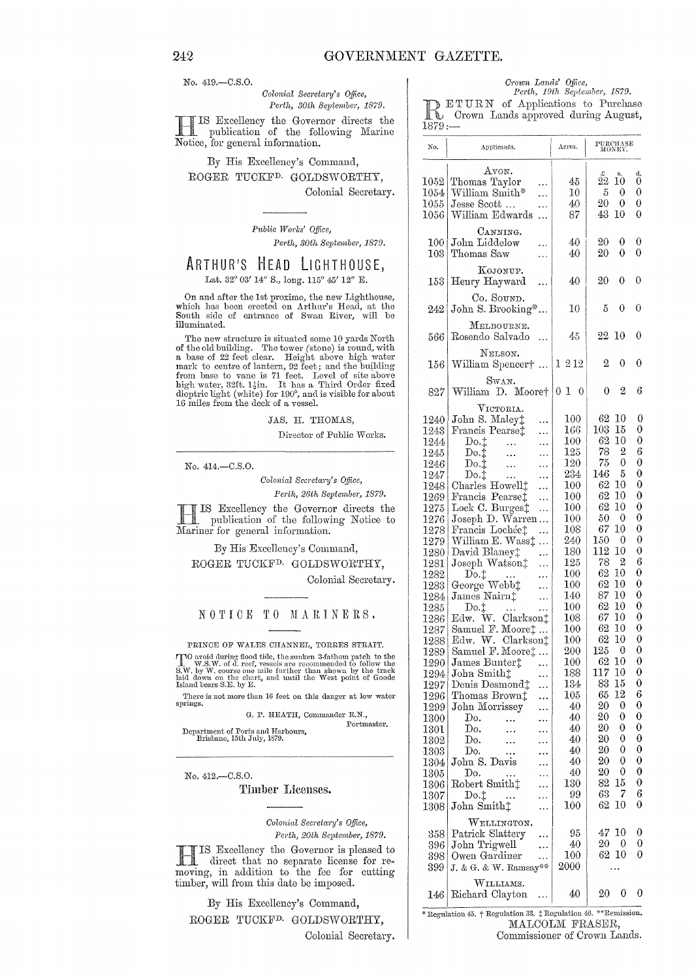No. 419.-C.S.O.

 $Colonial$  Secretary's Office, *Perth, 30th September,* 1879.

 $\mathbf{H}$ IS Excellency the Governor directs the publication of the following Marine Notice, for general information.

# By His Excellency's Command, ROGER TUCKFD. GOLDSWORTHY, Colonial Secretary.

*Pttblic WOI'ks' Office,*  Perth, 30th September, 1879.

# ARTHUR'S HEAD LIGHTHOUSE, Lat. 32° 03' 14" S., long. 115° 45' 12" E.

On and after the 1st proximo, the new Lighthouse, which has been erected on Arthur's Head, at the South side of entrance of Swan River, will be illuminated.

The new structure is situated some 10 yards North of the old building. The tower (stone) is round, with a base of 22 feet clear. Height above high water mark to centre of lantern, 92 feet; and the building from base to vane is 71 feet. Level of site-above<br>high water, 32ft. 1½in. It has a Third Order fixed dioptric light (white) for 190°, and is visible for about 16 miles from the deck of a vessel.

JAS. H. THOMAS,

Director of Public Works.

No, 414.-C.S.0.

 $Colonial$  Secretary's Office,

Perth, 26th September, 1879.

**IT IS Excellency the Governo**<br>
publication of the following<br>
Mariner for general information. IS Excellency the Governor directs the publication of the following Notice to

# By His Excellency's Command, ROGER TUCKF<sup>D.</sup> GOLDSWORTHY,

Colonial Secretary.

### NOTICE TO MARINERS.

PRINCE OF WALES CHANNEL, TORRES STRAIT. TVO avoid during flood tide, the sunken 3-fathom patch to the W.S.W. of d. reef, vessels are recommended to follow the S.W. by W. course one mile further than shown by the track laid down on the chart, and until the West p

There is not more than 16 feet on this danger at low water springs.

G. P. HEATH, Commander R.N., Portmaster.

Department of Ports and Harbours,<br>Brisbane, 15th July, 1879.

No. 412.-0.S,O.

Timber Licenses.

*Oolonial SeC)'eta1'y's Office,*  Perth, 20th September, 1879.

HIS Excellency the Governor is pleased to direct that no separate license for removing, in addition to the fee for cutting moving, in addition to the fee for cutting timber, will from this date be imposed.

By His Excellency's Command, ROGER TUCKFD. GOLDSWORTHY,

Colonial Secretary.

*Crown Lands' Office,* 

*Perth, li1th September, 1879.*  of Applications to Purchase Crown Lands approved during August,

| No.          | Applicants.                                          | Acres.          | PURCHASE<br>MONEY.    |                  |
|--------------|------------------------------------------------------|-----------------|-----------------------|------------------|
|              | Атом.                                                |                 | Ŀ<br>s,               | d,               |
| $1052\,$     | Thomas Taylor                                        | 45              | 22<br>10              | 0                |
| 1054         | William Smith*                                       | 10              | 5<br>0                | 0                |
| $1055\,$     | Jesse Scott                                          | 40              | 20<br>0               | 0                |
| 1056         | William Edwards                                      | 87              | 43<br>10              | 0                |
|              | CANNING.                                             |                 |                       |                  |
| 100 i        | John Liddelow                                        | 40              | 20<br>0               | 0                |
| 103          | Thomas Saw                                           | 40              | 0<br>20               | 0                |
| 153          | KOJONUP.<br>Henry Hayward                            | 40              | 20<br>0               | 0                |
|              | Co. Sound.                                           |                 |                       |                  |
| 242          | John S. Brooking*                                    | 10              | 5<br>0                | 0                |
|              | MELBOURNE.                                           |                 |                       |                  |
| 566          | Rosendo Salvado                                      | 45              | 22<br>10              | 0                |
|              |                                                      |                 |                       |                  |
| 156          | NELSON.<br>William Spencer†                          | $1\;2\,12$      | 2<br>0                | 0                |
|              | Swan.                                                |                 |                       |                  |
| 827          | William D. Moore†                                    | 0 I<br>0        | 2<br>0                | 6                |
|              | VICTORIA.                                            |                 |                       |                  |
| 1240         | John S. Maley‡                                       | $_{100}$<br>166 | 62<br>10<br>15<br>103 | 0<br>0           |
| 1243         | Francis Pearse‡                                      | $100\,$         | 10<br>62              | 0                |
| 1244         | Do.t<br>Do.t                                         | $^{125}$        | 78<br>2               | 6                |
| 1245<br>1246 | .<br>.<br>$\operatorname{Do.t}$                      | 120             | 0<br>75               | 0                |
| 1247         | .<br>Do.                                             | $^{234}$        | 146<br>5              | 0                |
| 1248         | Charles Howell±<br>.                                 | $100\,$         | 62<br>10              | 0                |
| 1269         | Francis Pearset<br>.                                 | 100             | 62<br>10              | 0                |
| 1275         | Lock C. Burges‡<br>.                                 | $100\,$         | 62<br>10              | 0                |
| 1276         | Joseph D. Warren                                     | 100             | 50<br>0               | 0                |
| 1278         | Francis Lochée‡                                      | $108\,$         | 67<br>10              | 0                |
| 1279         | William E. Wasst<br>.                                | 240             | 150<br>0              | 0                |
| 1280         | David Blaney‡<br>.                                   | 180             | 112<br>10             | 0                |
| 1281         | Joseph Watson‡                                       | 125             | 2<br>78               | 6                |
| $1282\,$     | Do.t                                                 | $100\,$         | 62<br>10              | 0                |
| 1283         | George Webb‡                                         | $100\,$         | 62<br>10              | 0                |
| 1284         | James Nairn‡                                         | 140             | 87<br>10              | 0                |
| 1285         | $_{\mathrm{Do.t}}$                                   | $100\,$         | 62<br>10              | 0                |
| $1286\,$     | W.<br>$Clarkson+$<br>Edw.                            | $108\,$         | 67<br>$10\,$          | 0<br>0           |
| 1287         | Samuel F. Moore:                                     | 100<br>$100\,$  | 62<br>10<br>62<br>10  | 0                |
| 1288         | Edw. W.<br>Clarkson <sup>+</sup><br>Samuel F. Moore‡ | 200             | $125\quad0$           | 0                |
| 1289<br>1290 | James Bunter‡                                        | $100\,$         | 62<br>10              | 0                |
| $1294\vert$  | John Smith <sub>1</sub>                              | 188             | 117<br>10             | 0                |
| $1297\vert$  | Denis Desmond <sup>+</sup>                           | $^{134}$        | 83<br>15              | 0                |
| 1296         | Thomas Brown‡                                        | $105\,$         | 65<br>12              | 6                |
| 1299         | John Morrissey                                       | 40              | 20<br>0               | 0                |
| 1300         | Dо.                                                  | 40              | 20<br>0               | 0                |
| 1301         | Do.                                                  | 40              | 0<br>20               | 0                |
| 1302         | Do.                                                  | 40              | 20<br>0               | 0                |
| 1303         | Do.                                                  | 40              | 0<br>20               | 0                |
| 1304         | John S. Davis                                        | 40              | 0<br>20               | 0                |
| 1305         | Do.                                                  | 40              | 0<br>20               | 0                |
| $1306\,$     | Robert Smith <sup>+</sup>                            | 130             | 82<br>15              | $\boldsymbol{0}$ |
| 1307         | $_{\mathrm{Do.t}}$                                   | 99              | 63<br>7               | 6                |
| 1308         | John Smith <sup>+</sup>                              | $100\,$         | 62<br>$10\,$          | 0                |
|              | WELLINGTON.                                          |                 |                       |                  |
| 358          | Patrick Slattery                                     | 95              | 47<br>10              | 0                |
| 396          | John Trigwell<br>.                                   | 40              | 20<br>0               | 0                |
| 398          | Owen Gardiner<br>.                                   | $100\,$         | 62<br>10              | 0                |
| 399          | J. & G. & W. Ramsay**                                | 2000            | .                     |                  |
|              | WILLIAMS.                                            |                 |                       |                  |
| 146          | Richard Clayton                                      | 40              | 0<br>20               | 0                |

\* Regulation 45.  $\dagger$  Regulation 33.  $\dagger$  Regulation 46. \*\* Remission. MALCOLM FRASER, Commissioner of Crown Lands.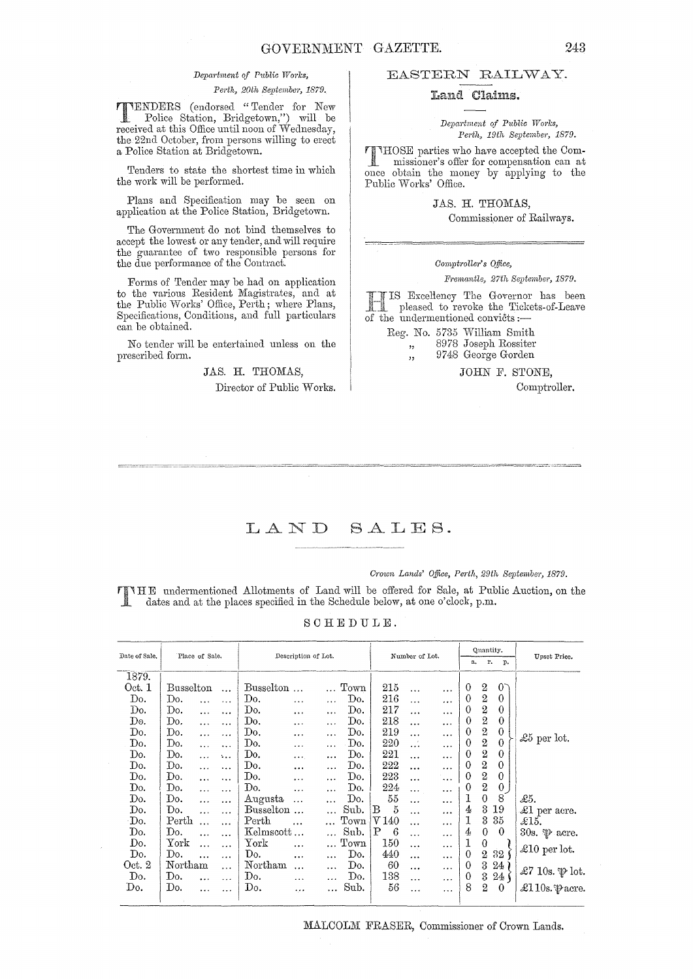#### Department of Public Works,

*Perth, 20th September, 1879.* 

**TTENDERS** (endorsed "Tender for New <br>Police Station, Bridgetown,") will be<br>received at this Office until neon of Wednesday received at this Office until noon of Wednesday, the 22nd October, from persons willing to erect a Police Station at Bridgetown.

Tenders to state the shortest time in which the work will be performed.

Plans and Specification may be seen on application at the Police Station, Bridgetown.

The Government do not bind themselves to accept the lowest or any tender, and will require the guarantee of two responsible persons for the due performance of the Contract.

Forms of Tender may be had on application to the nrious Resident Magistrates, and at the Public Works' Office, Perth; where Plans, Specifications, Conditions, and full particulars can be obtained.

No tender will be entertained unless on the prescribed form.

> JAS. H. THOMAS, Director of Public Works.

## EASTERN RAILWAY.

# Land Claims.

*Depal'tmemt of Public Works,*  Perth, 19th September, 1879.

THOSE parties who have accepted the Com-missioner's ofier for compensation can at once obtain the money by applying to the Public Works' Office.

> JAS. H. THOMAS, Commissioner of Railways.

#### *Comptrolwr's QtJice,*

*Fremantle, 27th September, 1879.* 

Excellency The Governor has been 1 pleased to revoke the Tickets-of-Leave<br>the undermentioned convicts :—

Reg. No. 5735 William Smith ,, 8978 Joseph Rossiter ", 9748 George Gorden

JOHN F. STONE,

Comptroller.

# LAND SALES.

*Crown Lands' Office, Perth, 29th September, 1879.* 

THE undermentioned Allotments of Land will be offered for Sale, at Public Auction, on the dates and at the places specified in the Schedule below, at one o'clock, p.m.

SCHEDUIJE.

| Date of Sale. | Place of Sale.   |           |                       | Description of Lot.      |           |           |                       | Number of Lot.     |           |           | Quantity.<br>r.<br>a.<br>p. |                  |                 | Upset Price.               |  |
|---------------|------------------|-----------|-----------------------|--------------------------|-----------|-----------|-----------------------|--------------------|-----------|-----------|-----------------------------|------------------|-----------------|----------------------------|--|
| 1879.         |                  |           |                       |                          |           |           |                       |                    |           |           |                             |                  |                 |                            |  |
| Oct. 1        | <b>Busselton</b> |           | $\ddotsc$             | Busselton                |           |           | $_{\mathrm{Town}}$    | 215                | .         | $\ldots$  | $\theta$                    | 2                | $0^-$           |                            |  |
| Do.           | Do.              | $\ddotsc$ | $\dddot{\phantom{0}}$ | Do.                      | $\cdots$  | $\ldots$  | Do.                   | 216                | $\ddotsc$ |           | $\theta$                    | $\boldsymbol{2}$ | 0               |                            |  |
| Do.           | Do.              | $\cdots$  |                       | Do.                      | $\cdots$  | $\ddotsc$ | Do.                   | 217                | .         | $\ddotsc$ | $\theta$                    |                  | 0               |                            |  |
| Do.           | Do.              | $\ddotsc$ |                       | Do.                      | $\cdots$  | $\cdots$  | Do.                   | 218                |           | $\ddotsc$ | 0                           | $\frac{2}{2}$    | $\theta$        |                            |  |
| Do.           | Do.              | $\ldots$  | .                     | Do.                      | $\cdots$  |           | Do.                   | 219                | .         | $\ddotsc$ | $\theta$                    | $\boldsymbol{2}$ | $\theta$        |                            |  |
| Do.           | Do.              | $\ddotsc$ |                       | Do.                      | .         | $\cdots$  | Do.                   | 220                | .         |           | $\theta$                    | $\sqrt{2}$       | $\theta$        | £5 per lot.                |  |
| Do.           | Do.              | $\ddotsc$ | 5.11                  | Do.                      | $\cdots$  | $\ddotsc$ | Do.                   | 221                |           | $\cdots$  | $\theta$                    | $\boldsymbol{2}$ | $\theta$        |                            |  |
| Do.           | Do.              | $\ddotsc$ | .                     | Do.                      | .         | $\ddotsc$ | Do.                   | 222                |           | $\ldots$  | $\theta$                    | $\overline{2}$   | $\theta$        |                            |  |
| Do.           | Do.              | $\cdots$  | .                     | Do.                      | $\cdots$  | $\ddotsc$ | Do.                   | 223                | .         | $\ddotsc$ | $\theta$                    | $\mathbf 2$      | 0               |                            |  |
| Do.           | Do.              | $\cdots$  | $\ddotsc$             | Do.                      | $\cdots$  | $\cdots$  | Do.                   | 224                | .         |           | $\theta$                    | $\boldsymbol{2}$ | $\overline{0}$  |                            |  |
| Do.           | Do.              | $\cdots$  | $\cdots$              | Augusta                  | $\cdots$  | $\ddotsc$ | $\operatorname{Do}$ . | 55                 | .         |           | 1                           | $\theta$         | 8               | £5.                        |  |
| Do.           | Do.              | .         | .                     | Busselton                |           |           | Sub.                  | $\frac{5}{2}$<br>в | $\ddotsc$ | $\ddotsc$ | 4                           | $\sqrt{3}$       | 19              | £1 per acre.               |  |
| Do.           | Perth            | $\ddotsc$ | $\ddotsc$             | Perth                    |           |           | Town                  | V140               | .         | $\cdots$  | 1                           | 3                | 35              | $\pounds15.$               |  |
| Do.           | Do.              | $\ddotsc$ | .                     | Kelmscott                |           |           | Sub.                  | Ρ<br>6             | .         | $\cdots$  | 4                           | $\boldsymbol{0}$ | $\mathbf{0}$    | 30s. $\mathcal P$ acre.    |  |
| Do.           | ${\rm York}$     | $\ddotsc$ | $\cdots$              | ${\rm York}$             | $\ddotsc$ |           | $_{\mathrm{Town}}$    | 150                | $\ddotsc$ | $\ddotsc$ | 1                           | $\boldsymbol{0}$ |                 |                            |  |
| Do.           | Do.              |           | $\cdots$              | Do.                      | $\cdots$  | $\ddotsc$ | $\operatorname{Do}$ . | 440                |           | $\ddotsc$ | $\theta$                    | $\overline{2}$   | 32              | $\pounds10$ per lot.       |  |
| Oct. 2        | Northam          |           | $\cdots$              | $\operatorname{Northam}$ | $\ddotsc$ | $\cdots$  | Do.                   | 60                 |           | $\ddotsc$ | 0                           | 3                | $24\,$          |                            |  |
| Do.           | Do.              | $\cdots$  | .                     | Do.                      | $\ldots$  |           | Do.                   | 138                |           |           | $\overline{0}$              | $\boldsymbol{3}$ | 24 <sub>1</sub> | £7 10s. $\mathcal{P}$ lot. |  |
| Do.           | Do.              | $\ddotsc$ |                       | Do.                      |           | $\cdots$  | Sub.                  | 56                 | .         | $\ldots$  | 8                           | $\boldsymbol{2}$ | $\theta$        | £110s. $\mathcal$ acre.    |  |
|               |                  |           |                       |                          | $\ddotsc$ |           |                       |                    |           | .         |                             |                  |                 |                            |  |

MALCOLM FRASER, Commissioner of Crown Lands.